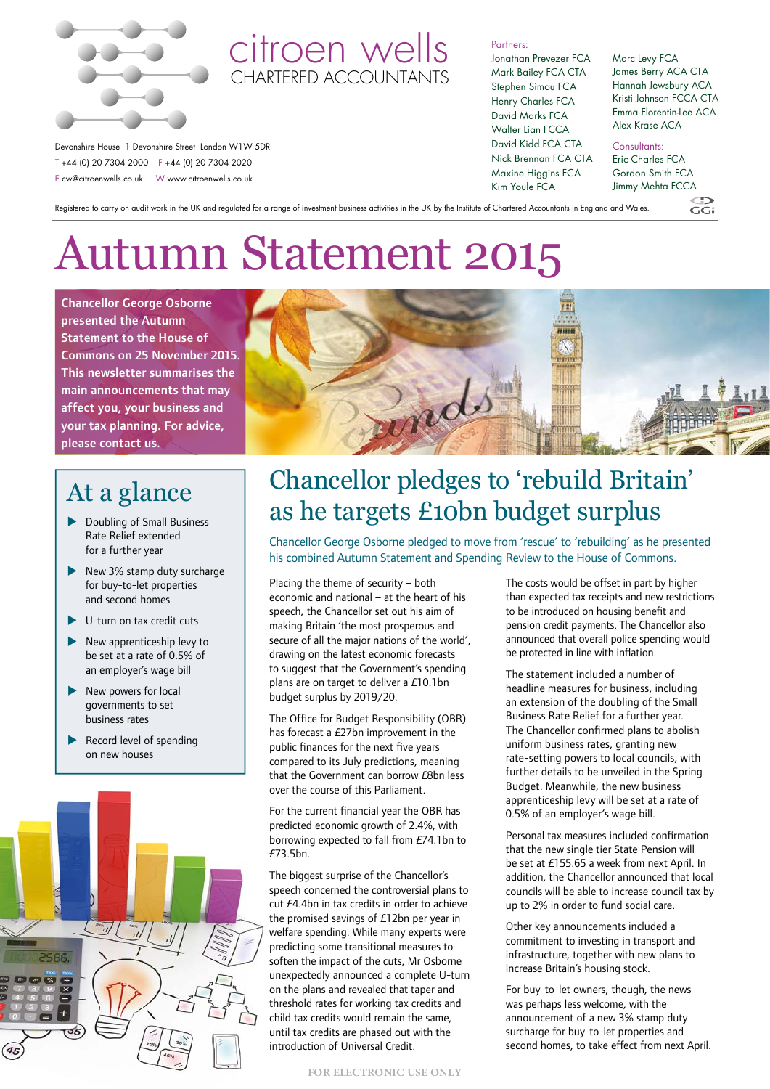

Devonshire House 1 Devonshire Street London W1W 5DR T +44 (0) 20 7304 2000 F +44 (0) 20 7304 2020 E cw@citroenwells.co.uk W www.citroenwells.co.uk

### citroen wells CHARTERED ACCOUNTANTS

Partners:

Jonathan Prevezer FCA Mark Bailey FCA CTA Stephen Simou FCA Henry Charles FCA David Marks FCA Walter Lian FCCA David Kidd FCA CTA Nick Brennan FCA CTA Maxine Higgins FCA Kim Youle FCA

#### Marc Levy FCA James Berry ACA CTA Hannah Jewsbury ACA Kristi Johnson FCCA CTA Emma Florentin-Lee ACA Alex Krase ACA

Consultants:

Eric Charles FCA Gordon Smith FCA Jimmy Mehta FCCA

 $GGi$ 

Registered to carry on audit work in the UK and regulated for a range of investment business activities in the UK by the Institute of Chartered Accountants in England and Wales.

# Autumn Statement 2015

Chancellor George Osborne presented the Autumn Statement to the House of Commons on 25 November 2015. This newsletter summarises the main announcements that may affect you, your business and your tax planning. For advice, please contact us.

## At a glance

- $\blacktriangleright$  Doubling of Small Business Rate Relief extended for a further year
- $\blacktriangleright$  New 3% stamp duty surcharge for buy-to-let properties and second homes
- $\blacktriangleright$  U-turn on tax credit cuts
- New apprenticeship levy to be set at a rate of 0.5% of an employer's wage bill
- $\blacktriangleright$  New powers for local governments to set business rates
- Record level of spending on new houses





## Chancellor pledges to 'rebuild Britain' as he targets £10bn budget surplus

Chancellor George Osborne pledged to move from 'rescue' to 'rebuilding' as he presented his combined Autumn Statement and Spending Review to the House of Commons.

Placing the theme of security – both economic and national – at the heart of his speech, the Chancellor set out his aim of making Britain 'the most prosperous and secure of all the major nations of the world', drawing on the latest economic forecasts to suggest that the Government's spending plans are on target to deliver a £10.1bn budget surplus by 2019/20.

The Office for Budget Responsibility (OBR) has forecast a £27bn improvement in the public finances for the next five years compared to its July predictions, meaning that the Government can borrow £8bn less over the course of this Parliament.

For the current financial year the OBR has predicted economic growth of 2.4%, with borrowing expected to fall from £74.1bn to £73.5bn.

The biggest surprise of the Chancellor's speech concerned the controversial plans to cut £4.4bn in tax credits in order to achieve the promised savings of £12bn per year in welfare spending. While many experts were predicting some transitional measures to soften the impact of the cuts, Mr Osborne unexpectedly announced a complete U-turn on the plans and revealed that taper and threshold rates for working tax credits and child tax credits would remain the same, until tax credits are phased out with the introduction of Universal Credit.

The costs would be offset in part by higher than expected tax receipts and new restrictions to be introduced on housing benefit and pension credit payments. The Chancellor also announced that overall police spending would be protected in line with inflation.

The statement included a number of headline measures for business, including an extension of the doubling of the Small Business Rate Relief for a further year. The Chancellor confirmed plans to abolish uniform business rates, granting new rate-setting powers to local councils, with further details to be unveiled in the Spring Budget. Meanwhile, the new business apprenticeship levy will be set at a rate of 0.5% of an employer's wage bill.

Personal tax measures included confirmation that the new single tier State Pension will be set at £155.65 a week from next April. In addition, the Chancellor announced that local councils will be able to increase council tax by up to 2% in order to fund social care.

Other key announcements included a commitment to investing in transport and infrastructure, together with new plans to increase Britain's housing stock.

For buy-to-let owners, though, the news was perhaps less welcome, with the announcement of a new 3% stamp duty surcharge for buy-to-let properties and second homes, to take effect from next April.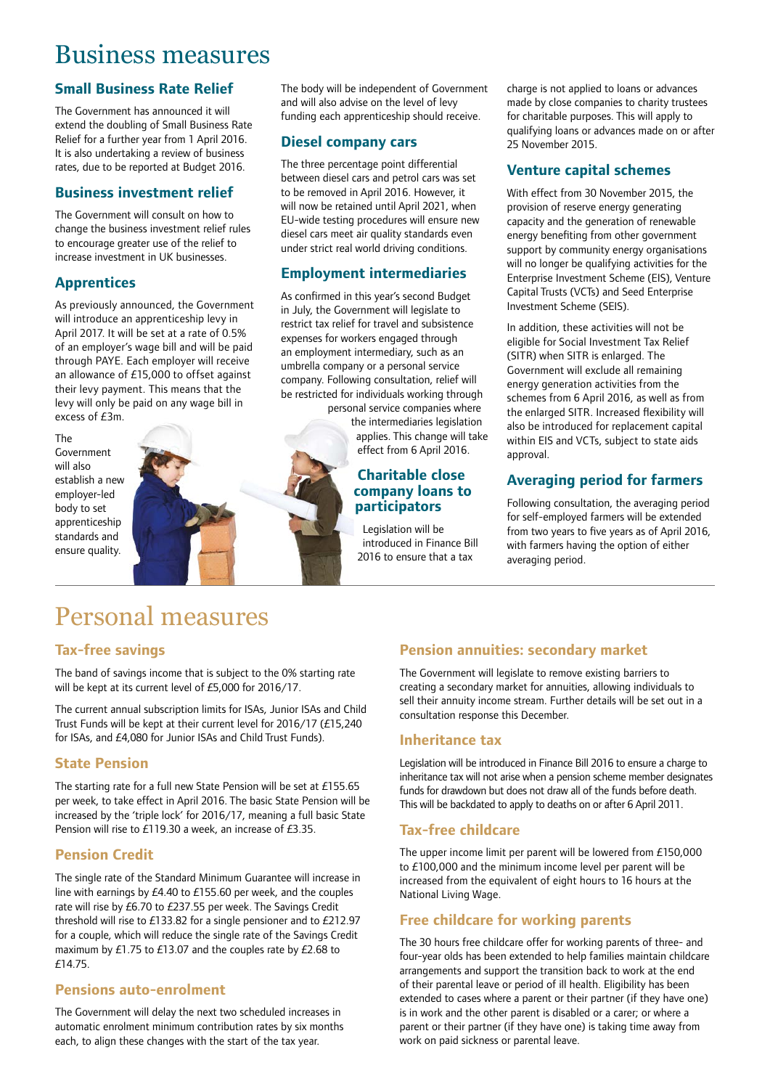## Business measures

### **Small Business Rate Relief**

The Government has announced it will extend the doubling of Small Business Rate Relief for a further year from 1 April 2016. It is also undertaking a review of business rates, due to be reported at Budget 2016.

### **Business investment relief**

The Government will consult on how to change the business investment relief rules to encourage greater use of the relief to increase investment in UK businesses.

### **Apprentices**

As previously announced, the Government will introduce an apprenticeship levy in April 2017. It will be set at a rate of 0.5% of an employer's wage bill and will be paid through PAYE. Each employer will receive an allowance of £15,000 to offset against their levy payment. This means that the levy will only be paid on any wage bill in excess of £3m.

The Government will also establish a new employer-led body to set apprenticeship standards and ensure quality.



The body will be independent of Government and will also advise on the level of levy funding each apprenticeship should receive.

### **Diesel company cars**

The three percentage point differential between diesel cars and petrol cars was set to be removed in April 2016. However, it will now be retained until April 2021, when EU-wide testing procedures will ensure new diesel cars meet air quality standards even under strict real world driving conditions.

### **Employment intermediaries**

As confirmed in this year's second Budget in July, the Government will legislate to restrict tax relief for travel and subsistence expenses for workers engaged through an employment intermediary, such as an umbrella company or a personal service company. Following consultation, relief will be restricted for individuals working through

personal service companies where the intermediaries legislation applies. This change will take effect from 6 April 2016.

### **Charitable close company loans to participators**

Legislation will be introduced in Finance Bill 2016 to ensure that a tax

charge is not applied to loans or advances made by close companies to charity trustees for charitable purposes. This will apply to qualifying loans or advances made on or after 25 November 2015.

### **Venture capital schemes**

With effect from 30 November 2015, the provision of reserve energy generating capacity and the generation of renewable energy benefiting from other government support by community energy organisations will no longer be qualifying activities for the Enterprise Investment Scheme (EIS), Venture Capital Trusts (VCTs) and Seed Enterprise Investment Scheme (SEIS).

In addition, these activities will not be eligible for Social Investment Tax Relief (SITR) when SITR is enlarged. The Government will exclude all remaining energy generation activities from the schemes from 6 April 2016, as well as from the enlarged SITR. Increased flexibility will also be introduced for replacement capital within EIS and VCTs, subject to state aids approval.

### **Averaging period for farmers**

Following consultation, the averaging period for self-employed farmers will be extended from two years to five years as of April 2016, with farmers having the option of either averaging period.

## Personal measures

### **Tax-free savings**

The band of savings income that is subject to the 0% starting rate will be kept at its current level of £5,000 for 2016/17.

The current annual subscription limits for ISAs, Junior ISAs and Child Trust Funds will be kept at their current level for 2016/17 (£15,240 for ISAs, and £4,080 for Junior ISAs and Child Trust Funds).

### **State Pension**

The starting rate for a full new State Pension will be set at £155.65 per week, to take effect in April 2016. The basic State Pension will be increased by the 'triple lock' for 2016/17, meaning a full basic State Pension will rise to £119.30 a week, an increase of £3.35.

### **Pension Credit**

The single rate of the Standard Minimum Guarantee will increase in line with earnings by £4.40 to £155.60 per week, and the couples rate will rise by £6.70 to £237.55 per week. The Savings Credit threshold will rise to £133.82 for a single pensioner and to £212.97 for a couple, which will reduce the single rate of the Savings Credit maximum by £1.75 to £13.07 and the couples rate by £2.68 to £14.75.

### **Pensions auto-enrolment**

The Government will delay the next two scheduled increases in automatic enrolment minimum contribution rates by six months each, to align these changes with the start of the tax year.

### **Pension annuities: secondary market**

The Government will legislate to remove existing barriers to creating a secondary market for annuities, allowing individuals to sell their annuity income stream. Further details will be set out in a consultation response this December.

### **Inheritance tax**

Legislation will be introduced in Finance Bill 2016 to ensure a charge to inheritance tax will not arise when a pension scheme member designates funds for drawdown but does not draw all of the funds before death. This will be backdated to apply to deaths on or after 6 April 2011.

### **Tax-free childcare**

The upper income limit per parent will be lowered from £150,000 to £100,000 and the minimum income level per parent will be increased from the equivalent of eight hours to 16 hours at the National Living Wage.

### **Free childcare for working parents**

The 30 hours free childcare offer for working parents of three- and four-year olds has been extended to help families maintain childcare arrangements and support the transition back to work at the end of their parental leave or period of ill health. Eligibility has been extended to cases where a parent or their partner (if they have one) is in work and the other parent is disabled or a carer; or where a parent or their partner (if they have one) is taking time away from work on paid sickness or parental leave.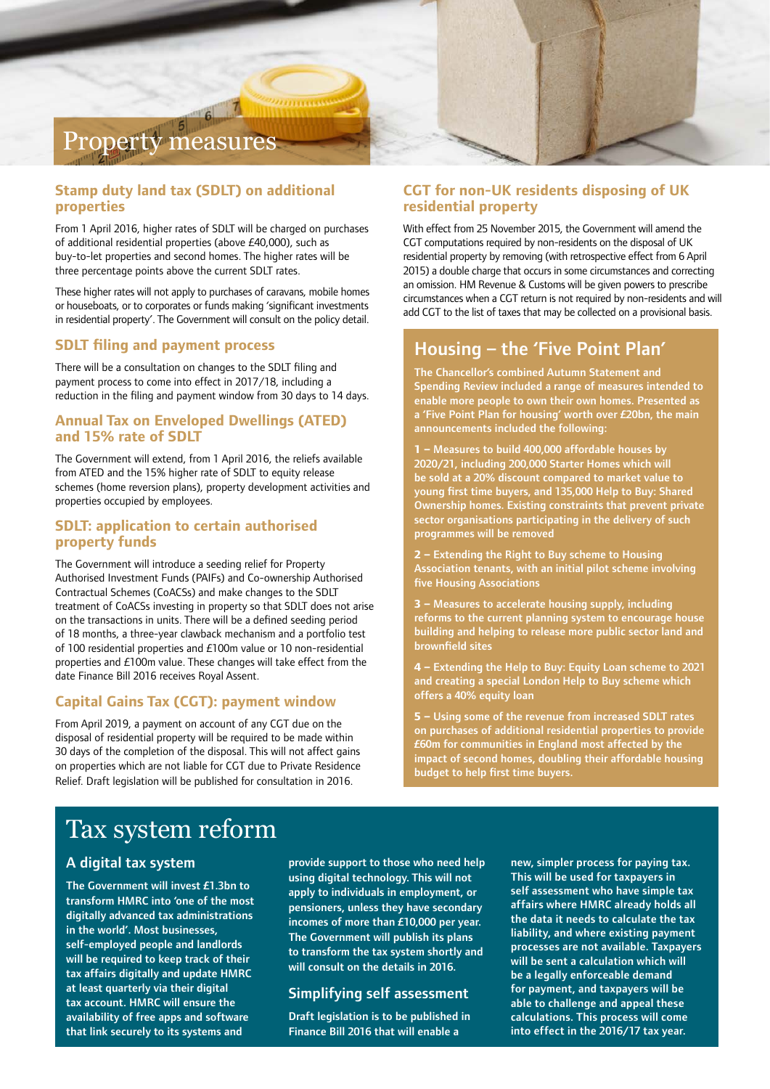## Property measures

### **Stamp duty land tax (SDLT) on additional properties**

From 1 April 2016, higher rates of SDLT will be charged on purchases of additional residential properties (above £40,000), such as buy-to-let properties and second homes. The higher rates will be three percentage points above the current SDLT rates.

These higher rates will not apply to purchases of caravans, mobile homes or houseboats, or to corporates or funds making 'significant investments in residential property'. The Government will consult on the policy detail.

### **SDLT filing and payment process**

There will be a consultation on changes to the SDLT filing and payment process to come into effect in 2017/18, including a reduction in the filing and payment window from 30 days to 14 days.

### **Annual Tax on Enveloped Dwellings (ATED) and 15% rate of SDLT**

The Government will extend, from 1 April 2016, the reliefs available from ATED and the 15% higher rate of SDLT to equity release schemes (home reversion plans), property development activities and properties occupied by employees.

### **SDLT: application to certain authorised property funds**

The Government will introduce a seeding relief for Property Authorised Investment Funds (PAIFs) and Co-ownership Authorised Contractual Schemes (CoACSs) and make changes to the SDLT treatment of CoACSs investing in property so that SDLT does not arise on the transactions in units. There will be a defined seeding period of 18 months, a three-year clawback mechanism and a portfolio test of 100 residential properties and £100m value or 10 non-residential properties and £100m value. These changes will take effect from the date Finance Bill 2016 receives Royal Assent.

### **Capital Gains Tax (CGT): payment window**

From April 2019, a payment on account of any CGT due on the disposal of residential property will be required to be made within 30 days of the completion of the disposal. This will not affect gains on properties which are not liable for CGT due to Private Residence Relief. Draft legislation will be published for consultation in 2016.

### **CGT for non-UK residents disposing of UK residential property**

With effect from 25 November 2015, the Government will amend the CGT computations required by non-residents on the disposal of UK residential property by removing (with retrospective effect from 6 April 2015) a double charge that occurs in some circumstances and correcting an omission. HM Revenue & Customs will be given powers to prescribe circumstances when a CGT return is not required by non-residents and will add CGT to the list of taxes that may be collected on a provisional basis.

### Housing – the 'Five Point Plan'

The Chancellor's combined Autumn Statement and Spending Review included a range of measures intended to enable more people to own their own homes. Presented as a 'Five Point Plan for housing' worth over £20bn, the main announcements included the following:

**1 –** Measures to build 400,000 affordable houses by 2020/21, including 200,000 Starter Homes which will be sold at a 20% discount compared to market value to young first time buyers, and 135,000 Help to Buy: Shared Ownership homes. Existing constraints that prevent private sector organisations participating in the delivery of such programmes will be removed

**2 –** Extending the Right to Buy scheme to Housing Association tenants, with an initial pilot scheme involving five Housing Associations

**3 –** Measures to accelerate housing supply, including reforms to the current planning system to encourage house building and helping to release more public sector land and brownfield sites

**4 –** Extending the Help to Buy: Equity Loan scheme to 2021 and creating a special London Help to Buy scheme which offers a 40% equity loan

**5 –** Using some of the revenue from increased SDLT rates on purchases of additional residential properties to provide £60m for communities in England most affected by the impact of second homes, doubling their affordable housing budget to help first time buyers.

## Tax system reform

### A digital tax system

The Government will invest £1.3bn to transform HMRC into 'one of the most digitally advanced tax administrations in the world'. Most businesses, self-employed people and landlords will be required to keep track of their tax affairs digitally and update HMRC at least quarterly via their digital tax account. HMRC will ensure the availability of free apps and software that link securely to its systems and

provide support to those who need help using digital technology. This will not apply to individuals in employment, or pensioners, unless they have secondary incomes of more than £10,000 per year. The Government will publish its plans to transform the tax system shortly and will consult on the details in 2016.

### Simplifying self assessment

Draft legislation is to be published in Finance Bill 2016 that will enable a

new, simpler process for paying tax. This will be used for taxpayers in self assessment who have simple tax affairs where HMRC already holds all the data it needs to calculate the tax liability, and where existing payment processes are not available. Taxpayers will be sent a calculation which will be a legally enforceable demand for payment, and taxpayers will be able to challenge and appeal these calculations. This process will come into effect in the 2016/17 tax year.